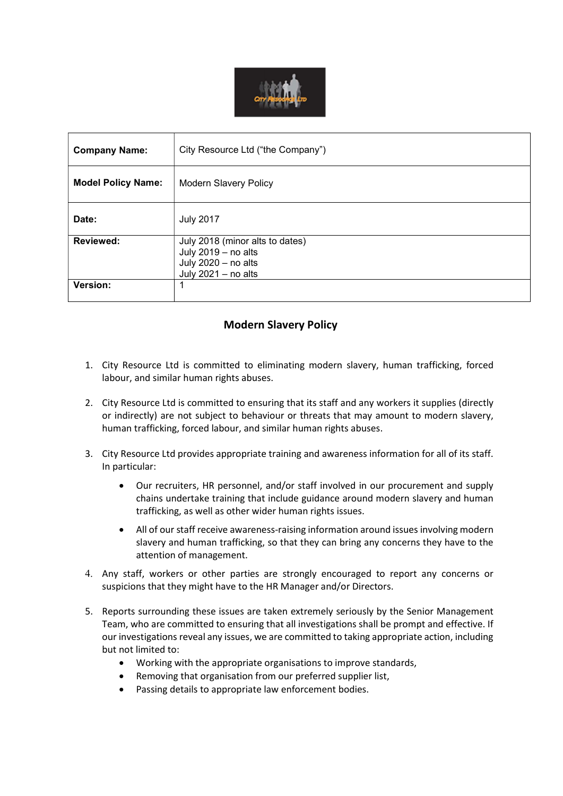

| <b>Company Name:</b>      | City Resource Ltd ("the Company")                                                                    |
|---------------------------|------------------------------------------------------------------------------------------------------|
| <b>Model Policy Name:</b> | <b>Modern Slavery Policy</b>                                                                         |
| Date:                     | <b>July 2017</b>                                                                                     |
| <b>Reviewed:</b>          | July 2018 (minor alts to dates)<br>July 2019 - no alts<br>July 2020 - no alts<br>July 2021 - no alts |
| Version:                  | 1                                                                                                    |

# Modern Slavery Policy

- 1. City Resource Ltd is committed to eliminating modern slavery, human trafficking, forced labour, and similar human rights abuses.
- 2. City Resource Ltd is committed to ensuring that its staff and any workers it supplies (directly or indirectly) are not subject to behaviour or threats that may amount to modern slavery, human trafficking, forced labour, and similar human rights abuses.
- 3. City Resource Ltd provides appropriate training and awareness information for all of its staff. In particular:
	- Our recruiters, HR personnel, and/or staff involved in our procurement and supply chains undertake training that include guidance around modern slavery and human trafficking, as well as other wider human rights issues.
	- All of our staff receive awareness-raising information around issues involving modern slavery and human trafficking, so that they can bring any concerns they have to the attention of management.
- 4. Any staff, workers or other parties are strongly encouraged to report any concerns or suspicions that they might have to the HR Manager and/or Directors.
- 5. Reports surrounding these issues are taken extremely seriously by the Senior Management Team, who are committed to ensuring that all investigations shall be prompt and effective. If our investigations reveal any issues, we are committed to taking appropriate action, including but not limited to:
	- Working with the appropriate organisations to improve standards,
	- Removing that organisation from our preferred supplier list,
	- Passing details to appropriate law enforcement bodies.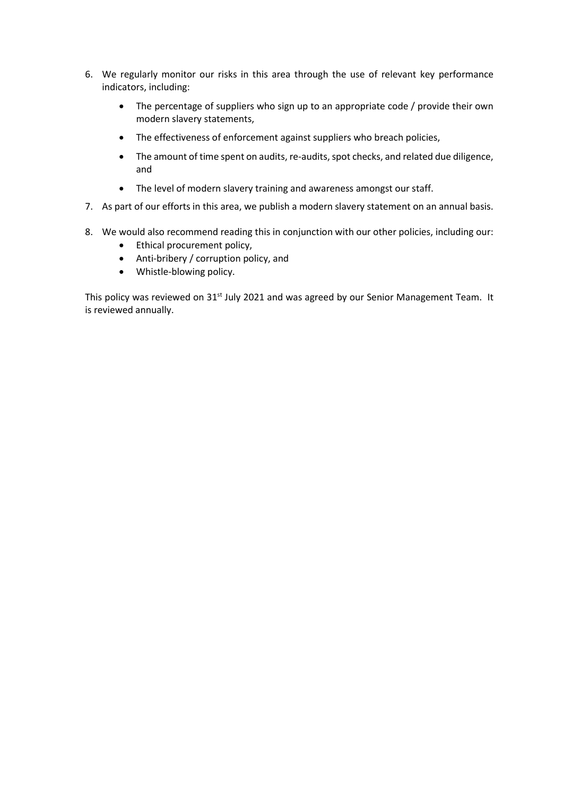- 6. We regularly monitor our risks in this area through the use of relevant key performance indicators, including:
	- The percentage of suppliers who sign up to an appropriate code / provide their own modern slavery statements,
	- The effectiveness of enforcement against suppliers who breach policies,
	- The amount of time spent on audits, re-audits, spot checks, and related due diligence, and
	- The level of modern slavery training and awareness amongst our staff.
- 7. As part of our efforts in this area, we publish a modern slavery statement on an annual basis.
- 8. We would also recommend reading this in conjunction with our other policies, including our:
	- Ethical procurement policy,
	- Anti-bribery / corruption policy, and
	- Whistle-blowing policy.

This policy was reviewed on 31<sup>st</sup> July 2021 and was agreed by our Senior Management Team. It is reviewed annually.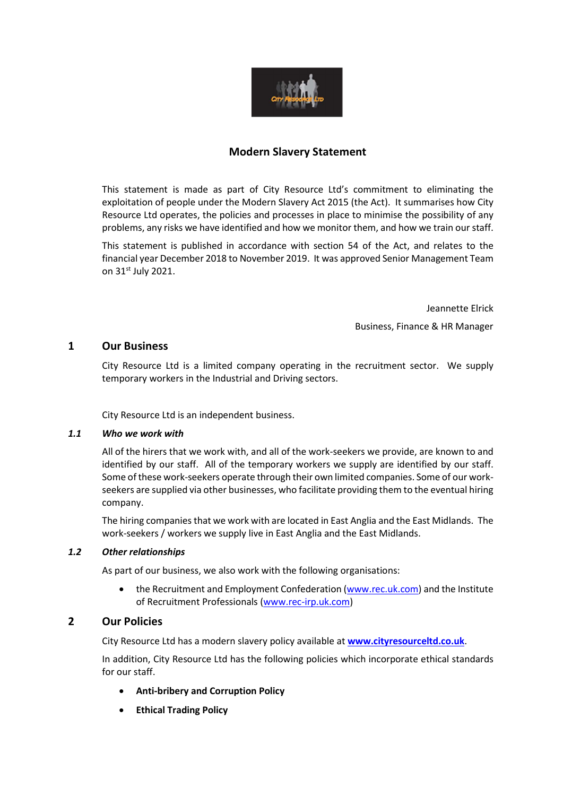

### Modern Slavery Statement

This statement is made as part of City Resource Ltd's commitment to eliminating the exploitation of people under the Modern Slavery Act 2015 (the Act). It summarises how City Resource Ltd operates, the policies and processes in place to minimise the possibility of any problems, any risks we have identified and how we monitor them, and how we train our staff.

This statement is published in accordance with section 54 of the Act, and relates to the financial year December 2018 to November 2019. It was approved Senior Management Team on 31st July 2021.

Jeannette Elrick

Business, Finance & HR Manager

## 1 Our Business

City Resource Ltd is a limited company operating in the recruitment sector. We supply temporary workers in the Industrial and Driving sectors.

City Resource Ltd is an independent business.

#### 1.1 Who we work with

All of the hirers that we work with, and all of the work-seekers we provide, are known to and identified by our staff. All of the temporary workers we supply are identified by our staff. Some of these work-seekers operate through their own limited companies. Some of our workseekers are supplied via other businesses, who facilitate providing them to the eventual hiring company.

The hiring companies that we work with are located in East Anglia and the East Midlands. The work-seekers / workers we supply live in East Anglia and the East Midlands.

#### 1.2 Other relationships

As part of our business, we also work with the following organisations:

 the Recruitment and Employment Confederation (www.rec.uk.com) and the Institute of Recruitment Professionals (www.rec-irp.uk.com)

### 2 Our Policies

City Resource Ltd has a modern slavery policy available at www.cityresourceltd.co.uk.

In addition, City Resource Ltd has the following policies which incorporate ethical standards for our staff.

- Anti-bribery and Corruption Policy
- **•** Ethical Trading Policy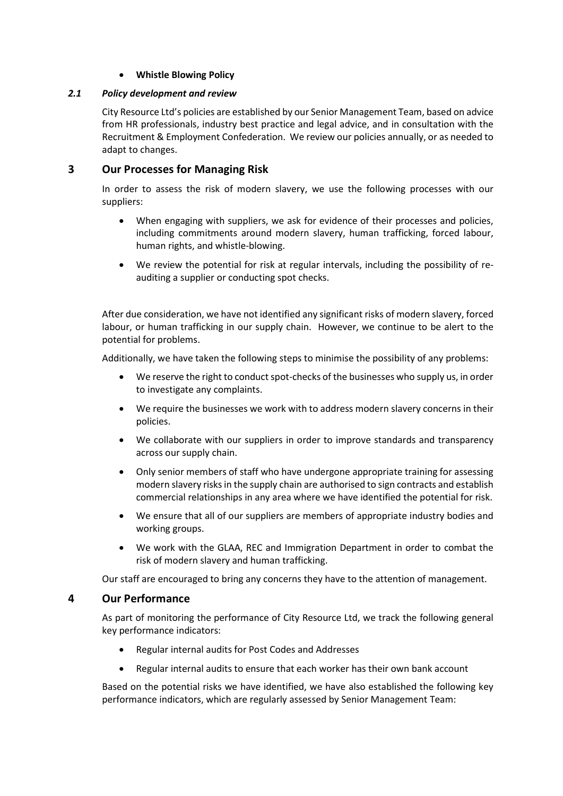#### Whistle Blowing Policy

#### 2.1 Policy development and review

City Resource Ltd's policies are established by our Senior Management Team, based on advice from HR professionals, industry best practice and legal advice, and in consultation with the Recruitment & Employment Confederation. We review our policies annually, or as needed to adapt to changes.

### 3 Our Processes for Managing Risk

In order to assess the risk of modern slavery, we use the following processes with our suppliers:

- When engaging with suppliers, we ask for evidence of their processes and policies, including commitments around modern slavery, human trafficking, forced labour, human rights, and whistle-blowing.
- We review the potential for risk at regular intervals, including the possibility of reauditing a supplier or conducting spot checks.

After due consideration, we have not identified any significant risks of modern slavery, forced labour, or human trafficking in our supply chain. However, we continue to be alert to the potential for problems.

Additionally, we have taken the following steps to minimise the possibility of any problems:

- We reserve the right to conduct spot-checks of the businesses who supply us, in order to investigate any complaints.
- We require the businesses we work with to address modern slavery concerns in their policies.
- We collaborate with our suppliers in order to improve standards and transparency across our supply chain.
- Only senior members of staff who have undergone appropriate training for assessing modern slavery risks in the supply chain are authorised to sign contracts and establish commercial relationships in any area where we have identified the potential for risk.
- We ensure that all of our suppliers are members of appropriate industry bodies and working groups.
- We work with the GLAA, REC and Immigration Department in order to combat the risk of modern slavery and human trafficking.

Our staff are encouraged to bring any concerns they have to the attention of management.

### 4 Our Performance

As part of monitoring the performance of City Resource Ltd, we track the following general key performance indicators:

- Regular internal audits for Post Codes and Addresses
- Regular internal audits to ensure that each worker has their own bank account

Based on the potential risks we have identified, we have also established the following key performance indicators, which are regularly assessed by Senior Management Team: